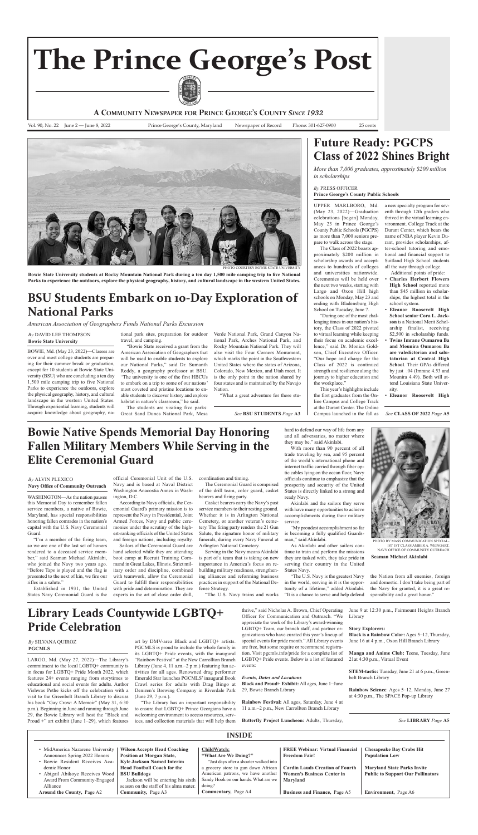art by DMV-area Black and LGBTQ+ artists. PGCMLS is proud to include the whole family in its LGBTQ+ Pride events, with the inaugural "Rainbow Festival" at the New Carrollton Branch Library (June 4, 11 a.m.–2 p.m.) featuring fun activities for all ages. Renowned drag performer Emerald Star launches PGCMLS' inaugural Book crawl series for adults with Drag Bingo at Denizen's Brewing Company in Riverdale Park (June 29, 7 p.m.).

thrive," said Nicholas A. Brown, Chief Operating officer for communication and outreach. "we appreciate the work of the library's award-winning LGBTO+ Team, our branch staff, and partner organizations who have curated this year's lineup of special events for pride month." All Library events are free, but some require or recommend registration. visit pgcmls.info/pride for a complete list of LGBTO+ Pride events. Below is a list of featured events:

June 9 at 12:30 p.m., fairmount heights Branch Library

**Manga and Anime Club:** Teens, Tuesday, June 21at 4:30 p.m., Virtual Event

**STEM-tastic:** Tuesday, June 21 at 6 p.m., Greenbelt Branch Library

**Rainbow Science**: Ages 5–12, Monday, June 27 at 4:30 p.m., The SPACE Pop-up Library

"The library has an important responsibility to ensure that LGBTQ+ Prince Georgians have a welcoming environment to access resources, services, and collection materials that will help them

The students are visiting five parks: Great Sand Dunes National Park, Mesa Verde National Park, Grand Canyon National Park, Arches National Park, and Rocky Mountain National Park. They will also visit the four corners monument, which marks the point in the Southwestern United States where the states of Arizona, Colorado, New Mexico, and Utah meet. It is the only point in the nation shared by four states and is maintained by the Navajo Nation.

#### *Events, Dates and Locations*

**Black and Proud+ Exhibit:** all ages, June 1–June 29, Bowie Branch library

**Rainbow Festival:** All ages, Saturday, June 4 at 11 a.m.–2 p.m., New Carrollton Branch Library

**Butterfly Project Luncheon:** adults, Thursday,

#### **Story Explorers:**

**Black** is a Rainbow Color: Ages 5–12, Thursday, June 16 at 4 p.m., Oxon Hill Branch Library

"I'm a member of the firing team, so we are one of the last set of honors rendered to a deceased service member," said Seaman michael akinlabi, who joined the Navy two years ago. "Before Taps is played and the flag is presented to the next of kin, we fire our rifles in a salute."

Established in 1931, the United States Navy Ceremonial Guard is the official Ceremonial Unit of the U.S. Navy and is based at Naval District Washington Anacostia Annex in Washington, D.c.

According to Navy officials, the Ceremonial guard's primary mission is to represent the Navy in Presidential, Joint Armed Forces, Navy and public ceremonies under the scrutiny of the highest-ranking officials of the United States and foreign nations, including royalty.

Bowie, md. (may 23, 2022)—classes are over and most college students are preparing for their summer break or graduation, except for 10 students at Bowie State University (BSU) who are concluding a ten day 1,500 mile camping trip to five National parks to experience the outdoors, explore the physical geography, history, and cultural landscape in the western United States. Through experiential learning, students will acquire knowledge about geography, na-

> Sailors of the Ceremonial Guard are hand selected while they are attending boot camp at Recruit Training Command in Great Lakes, Illinois. Strict military order and discipline, combined with teamwork, allow the ceremonial Guard to fulfill their responsibilities with pride and determination. They are experts in the art of close order drill,

The Ceremonial Guard is comprised of the drill team, color guard, casket bearers and firing party.

Casket bearers carry the Navy's past service members to their resting ground. Whether it is in Arlington National cemetery, or another veteran's cemetery. The firing party renders the 21 Gun Salute, the signature honor of military funerals, during every Navy Funeral at Arlington National Cemetery.

tional park sites, preparation for outdoor travel, and camping.

> Serving in the Navy means Akinlabi is part of a team that is taking on new importance in America's focus on rebuilding military readiness, strengthening alliances and reforming business practices in support of the National Defense Strategy.

"The U.S. Navy trains and works

of the world's international phone and internet traffic carried through fiber optic cables lying on the ocean floor, Navy officials continue to emphasize that the prosperity and security of the United States is directly linked to a strong and ready Navy.

"Bowie State received a grant from the American Association of Geographers that will be used to enable students to explore our National Parks," said Dr. Sumanth Reddy, a geography professor at BSU. "The university is one of the first HBCUs to embark on a trip to some of our nations' most coveted and pristine locations to enable students to discover history and explore habitat in nature's classroom," he said.

"what a great adventure for these stu-

- Additional points of pride: • **Charles Herbert Flowers High School** reported more than \$45 million in scholarships, the highest total in the school system.
- **Eleanor roosevelt High School senior Cora L. Jack**son is a National Merit Scholarship finalist, receiving \$2,500 in scholarship funds.
- **Twins imrane Oumarou Ba and Mounira Oumarou Ba are valedictorian and salutatorian at Central High School.** Their GPAs differed by just .04 (imrane 4.53 and mounira 4.49). Both will attend Louisiana State University.

coordination and timing.



PHOTO BY MASS COMMUNICATION SPECIAL iST 1ST claSS amBer a. weingarT, navy office of communiTy ouTreach

hard to defend our way of life from any and all adversaries, no matter where

with more than 90 percent of all trade traveling by sea, and 95 percent

they may be," said Akinlabi.

akinlabi and the sailors they serve with have many opportunities to achieve accomplishments during their military service.

"My proudest accomplishment so far is becoming a fully qualified Guardsman," said Akinlabi.

As Akinlabi and other sailors continue to train and perform the missions they are tasked with, they take pride in serving their country in the United States Navy.

"The U.S. Navy is the greatest Navy in the world, serving in it is the opportunity of a lifetime," added akinlabi. "It is a chance to serve and help defend

upper marlBoro, md.  $(May 23, 2022)$ —Graduation celebrations [began] Monday, May 23 in Prince George's county public Schools (pgcpS) as more than 7,000 seniors prepare to walk across the stage.

The class of 2022 boasts approximately \$200 million in scholarship awards and acceptances to hundreds of colleges and universities nationwide. ceremonies will be held over the next two weeks, starting with Largo and Oxon Hill high schools on Monday, May 23 and ending with Bladensburg High School on Tuesday, June 7.

"During one of the most challenging times in our nation's history, the class of 2022 pivoted to virtual learning while keeping their focus on academic excellence," said Dr. Monica Goldson, Chief Executive Officer. "our hope and charge for the class of 2022 is continued strength and resilience along the journey to higher education and the workplace."

a new specialty program for seventh through 12th graders who thrived in the virtual learning environment. college Track at the Durant center, which bears the name of nBa player Kevin Durant, provides scholarships, after-school tutoring and emotional and financial support to Suitland high School students all the way through college.

• **Eleanor roosevelt High**

**A COMMUNITY NEWSPAPER FOR PRINCE GEORGE'S COUNTY** *SINCE 1932*

Vol. 90, No. 22 June 2 — June 8, 2022 Prince George's County, Maryland Newspaper of Record Phone: 301-627-0900 25 cents



PHOTO COURTESY BOWIE STATE UNIVERSITY

Bowie State University students at Rocky Mountain National Park during a ten day 1,500 mile camping trip to five National Parks to experience the outdoors, explore the physical geography, history, and cultural landscape in the western United States.

# **The Prince George's Post**



## **Future ready: PGCPS Class of 2022 Shines Bright**

*More than 7,000 graduates, approximately \$200 million in scholarships*

This year's highlights include the first graduates from the Online campus and college Track at the Durant Center. The Online campus launched in the fall as *See* **BSU STUDENTS** *Page* **A3** *See* **CLASS OF 2022** *Page* **A5**

| <b>INSIDE</b>                                                                                                                               |                                                                                                                                                         |                                                                                                                                                                                              |                                                                                         |                                                                                |  |  |
|---------------------------------------------------------------------------------------------------------------------------------------------|---------------------------------------------------------------------------------------------------------------------------------------------------------|----------------------------------------------------------------------------------------------------------------------------------------------------------------------------------------------|-----------------------------------------------------------------------------------------|--------------------------------------------------------------------------------|--|--|
| • MidAmerica Nazarene University<br>Announces Spring 2022 Honors                                                                            | <b>Wilson Accepts Head Coaching</b><br><b>Position at Morgan State,</b>                                                                                 | <b>ChildWatch:</b><br>"What Are We Doing?"                                                                                                                                                   | <b>FREE Webinar: Virtual Financial</b><br><b>Freedom Fair!</b>                          | <b>Chesapeake Bay Crabs Hit</b><br><b>Population Low</b>                       |  |  |
| · Bowie Resident Receives Aca-<br>demic Honor<br>• Abigail Abikoye Receives Wood   BSU Bulldogs<br>Award From Community-Engaged<br>Alliance | <b>Kyle Jackson Named Interim</b><br><b>Head Football Coach for the</b><br>Jackson will be entering his sixth<br>season on the staff of his alma mater. | "Just days after a shooter walked into<br>a grocery store to gun down African<br>American patrons, we have another<br>Sandy Hook on our hands. What are we<br>$\frac{\text{doing}}{\text{}}$ | <b>Cardin Lauds Creation of Fourth</b><br><b>Women's Business Center in</b><br>Maryland | <b>Maryland State Parks Invite</b><br><b>Public to Support Our Pollinators</b> |  |  |
| <b>Around the County, Page A2</b>                                                                                                           | <b>Community, Page A3</b>                                                                                                                               | <b>Commentary, Page A4</b>                                                                                                                                                                   | <b>Business and Finance, Page A5</b>                                                    | <b>Environment</b> , Page A6                                                   |  |  |

#### *By* preSS officer **Prince George's County Public Schools**

#### **Seaman Michael Akinlabi**

the Nation from all enemies, foreign and domestic. i don't take being part of the Navy for granted, it is a great responsibility and a great honor."

*See* **LiBrAry** *Page* **A5**

#### *By* alvin plexico

#### **Navy Office of Community Outreach**

WASHINGTON—As the nation pauses this Memorial Day to remember fallen service members, a native of Bowie, maryland, has special responsibilities honoring fallen comrades in the nation's capital with the U.S. Navy Ceremonial Guard.

# **Bowie Native Spends Memorial Day Honoring Fallen Military Members While Serving in the**

## **Elite Ceremonial Guard**

#### *By* DaviD lee ThompSon **Bowie State University**

# **BSU Students Embark on 10-Day Exploration of National Parks**

*American Association of Geographers Funds National Parks Excursion*

#### *By* Silvana Quiroz **PGCMLS**

LARGO, Md. (May 27, 2022)-The Library's commitment to the local LGBTQ+ community is in focus for LGBTQ+ Pride Month 2022, which features 24+ events ranging from storytimes to educational and social events for adults. Author vishwas pethe kicks off the celebration with a visit to the Greenbelt Branch Library to discuss his book "Gay Crow: A Memoir" (May 31, 6:30 p.m.). Beginning in June and running through June 29, the Bowie library will host the "Black and Proud  $+$ " art exhibit (June 1–29), which features

# **Library Leads Countywide LGBTQ+ Pride Celebration**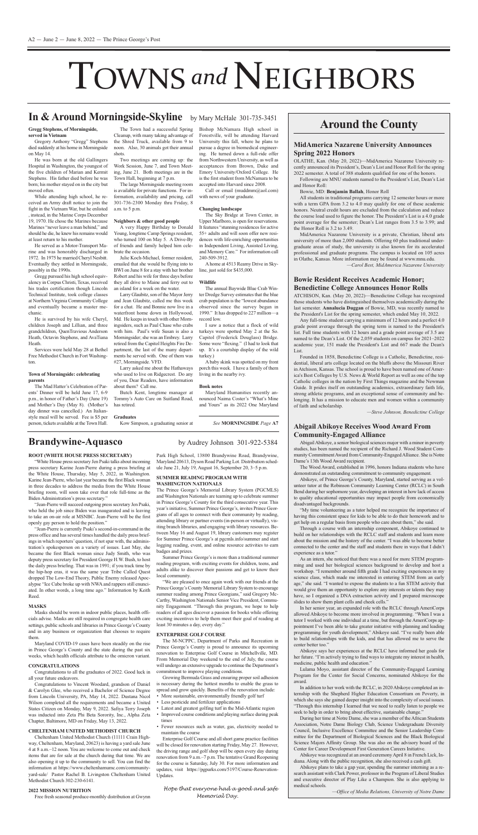#### **MidAmerica Nazarene University Announces Spring 2022 Honors**

OLATHE, Kan. (May 20, 2022)-MidAmerica Nazarene University recently announced its President's, Dean's List and Honor Roll for the spring 2022 semester. A total of 388 students qualified for one of the honors.

Following are MNU students named to the President's List, Dean's List and Honor Roll:

Bowie, MD: Benjamin Ballah, Honor Roll

All students in traditional programs carrying 12 semester hours or more with a term GPA from 3.2 to 4.0 may qualify for one of these academic honors. Neutral credit hours are excluded from the calculation and reduce the course load used to figure the honor. The President's List is a 4.0 grade point average for the semester; Dean's list ranges from 3.5 to 3.99; and the Honor Roll is 3.2 to 3.49.

MidAmerica Nazarene University is a private, Christian, liberal arts university of more than 2,000 students. Offering 60 plus traditional undergraduate areas of study, the university is also known for its accelerated professional and graduate programs. The campus is located on 105 acres in olathe, Kansas. more information may be found at www.mnu.edu.

#### **Bowie Resident Receives Academic Honor; Benedictine College Announces Honor rolls**

*—Carol Best, MidAmerica Nazarene University*

aTchiSon, Kan. (may 20, 2022)—Benedictine college has recognized those students who have distinguished themselves academically during the last semester. **Annalucia Duggan** of Bowie, mD, was recently named to the president's list for the spring semester, which ended may 10, 2022.

Any full-time student carrying a minimum of 12 hours and a perfect 4.0 grade point average through the spring term is named to the president's list. full time students with 12 hours and a grade point average of 3.5 are named to the Dean's List. Of the 2,059 students on campus for 2021–2022 academic year, 151 made the president's list and 667 made the Dean's List.

The Wood Award, established in 1996, honors Indiana students who have demonstrated an outstanding commitment to community engagement.

Abikoye, of Prince George's County, Maryland, started serving as a volunteer tutor at the Robinson Community Learning Center (RCLC) in South Bend during her sophomore year, developing an interest in how lack of access to quality educational opportunities may impact people from economically disadvantaged backgrounds.

"My time volunteering as a tutor helped me recognize the importance of having this consistent space for kids to be able to do their homework and to get help on a regular basis from people who care about them," she said.

As an intern, she noticed that there was a need for more STEM programming and used her biological sciences background to develop and host a workshop. "I remember around fifth grade I had exciting experiences in my science class, which made me interested in entering STem from an early age," she said. "I wanted to expose the students to a fun STEM activity that would give them an opportunity to explore any interests or talents they may have, so I organized a DNA extraction activity and I prepared microscope slides to show them plant cells and cheek cells."

founded in 1858, Benedictine college is a catholic, Benedictine, residential, liberal arts college located on the bluffs above the Missouri River in Atchison, Kansas. The school is proud to have been named one of America's Best Colleges by U.S. News  $&$  World Report as well as one of the top Catholic colleges in the nation by First Things magazine and the Newman Guide. It prides itself on outstanding academics, extraordinary faith life, strong athletic programs, and an exceptional sense of community and belonging. It has a mission to educate men and women within a community of faith and scholarship.

In her senior year, an expanded role with the RCLC through AmeriCorps allowed Abikoye to become more involved in programming. "When I was a tutor I worked with one individual at a time, but through the AmeriCorps appointment I've been able to take greater initiative with planning and leading programming for youth development," Abikoye said. "I've really been able to build relationships with the kids, and that has allowed me to serve the center better too."

*—Steve Johnson, Benedictine College*

Abikoye says her experiences at the RCLC have informed her goals for her future. "I'm actively trying to find ways to integrate my interest in health, medicine, public health and education."

#### **Abigail Abikoye receives Wood Award From Community-Engaged Alliance**

Abigail Abikoye, a senior biological sciences major with a minor in poverty studies, has been named the recipient of the Richard J. Wood Student Community Commitment Award from Community-Engaged Alliance. She is Notre

Brandywine-Aquasco<br>
by Audrey Johnson 301-922-5384

Lulama Moyo, assistant director of the Community-Engaged Learning program for the center for Social concerns, nominated abikoye for the award.

In addition to her work with the RCLC, in 2020 Abikoye completed an internship with the Shepherd higher education consortium on poverty, in which she says she gained deeper insight into the complexity of social issues. "Through this internship I learned that we need to really listen to people we seek to help in order to bring about effective, sustainable change."

During her time at Notre Dame, she was a member of the African Students Association, Notre Dame Biology Club, Science Undergraduate Diversity Council, Inclusive Excellence Committee and the Senior Leadership Committee for the Department of Biological Sciences and the Black Biological Science Majors Affinity Group. She was also on the advisory board of the Center for Career Development First Generation Careers Initiative.

Abikoye was recognized at an award ceremony April 8 in French Lick, Indiana. Along with the public recognition, she also received a cash gift.

"Jean-Pierre will succeed outgoing press secretary Jen Psaki, who held the job since Biden was inaugurated and is leaving to take an on-air role at mSnBc. Jean-pierre will be the first openly gay person to hold the position."

"Jean-Pierre is currently Psaki's second-in-command in the press office and hasseveral times handled the daily press briefings in which reporters' question, if not spar with, the administration's spokesperson on a variety of issues. last may, she became the first Black woman since Judy Smith, who was deputy press secretary for President George H.W. Bush, to host the daily press briefing. That was in 1991; if you track time by the hip-hop eras, it was the same year Tribe called Quest dropped The Low-End Theory, Public Enemy released Apocalypse "Ice Cube broke up with NWA and rappers still enunciated. in other words, a long time ago." information by Keith Reed.

Through a course with an internship component, abikoye continued to build on her relationships with the RCLC staff and students and learn more about the mission and the history of the center. "I was able to become better connected to the center and the staff and students there in ways that I didn't experience as a tutor."

Masks should be worn in indoor public places, health officials advise. masks are still required in congregate health care settings, public schools and libraries in Prince George's County and in any business or organization that chooses to require them.

Maryland COVID-19 cases have been steadily on the rise in Prince George's County and the state during the past six weeks, which health officials attribute to the omicron variant.

Congratulations to all the graduates of 2022. Good luck in all your future endeavors.

cheltenham united methodist church (11111 crain highway, cheltenham, maryland, 20623) is having a yard sale June 4 at 8 a.m.–12 noon. you are welcome to come out and check items that are for sale at the church during that time. we are also opening it up to the community to sell. you can find the information at https://www.cheltenhamumc.com/communityyard-sale/ Pastor Rachel B. Livingston Cheltenham United Methodist Church 302-230-6141.

The Prince George's Memorial Library System (PGCMLS) and Washington Nationals are teaming up to celebrate summer in Prince George's County for the third consecutive year. This year's initiative, Summer Prince George's, invites Prince Georgians of all ages to connect with their community by reading, attending library or partner events (in-person or virtually), visiting branch libraries, and engaging with library resources. Between May 16 and August 19, library customers may register for Summer Prince George's at pgcmls.info/summer and start logging reading, event, and online resource activities to earn badges and prizes.

Summer Prince George's is more than a traditional summer reading program, with exciting events for children, teens, and adults alike to discover their passions and get to know their local community.

The M-NCPPC, Department of Parks and Recreation in Prince George's County is proud to announce its upcoming renovation to Enterprise Golf Course in Mitchellville, MD. from memorial Day weekend to the end of July, the course will undergo an extensive upgrade to continue the Department's commitment to improve playing conditions.

Growing Bermuda Grass and ensuring proper soil adhesion is necessary during the hottest months to enable the grass to spread and grow quickly. Benefits of the renovation include:

- More sustainable, environmentally friendly golf turf
- less pesticide and fertilizer applications
- Latest and greatest golfing turf in the Mid-Atlantic region
- improved course conditions and playing surface during peak times
- fewer resources such as water, gas, electricity needed to maintain the course

Enterprise Golf Course and all short game practice facilities will be closed for renovation starting Friday, May 27. However, the driving range and golf shop will be open every day during renovation from 9 a.m.–7 p.m. The tentative Grand Reopening for the course is Saturday, July 30. for more information and updates, visit https://pgparks.com/5197/Course-Renovation-Updates.

abikoye plans to take a gap year, spending the summer interning as a research assistant with Clark Power, professor in the Program of Liberal Studies and executive director of play like a champion. She is also applying to medical schools.

He was born at the old Gallingers hospital in washington, the youngest of the five children of Marian and Kermit Stephens. His father died before he was born; his mother stayed on in the city but moved often.

*—Office of Media Relations, University of Notre Dame*

# TOWNS and NEIGHBORS

## **Around the County**

He served as a Motor-Transport Marine and was honorably discharged in 1972. In 1975 he married Cheryl Nesbitt. Eventually they settled in Morningside, possibly in the 1990s.

## **in & Around Morningside-Skyline** by mary mchale 301-735-3451

Gregg pursued his high school equivalency in corpus christi, Texas, received his trades certification though lincoln Technical institute, took college classes at Northern Virginia Community College and eventually became a master mechanic.

he is survived by his wife cheryl, children Joseph and Lillian, and three grandchildren, QuenTravious Anderson Heath, Octavin Stephens, and AvaTiana Heath.

**rOOT (WHiTE HOUSE PrESS SECrETAry)**

Park High School, 13800 Brandywine Road, Brandywine,

"White House press secretary Jen Psaki talks about incoming press secretary Karine Jean-pierre during a press briefing at the white house, Thursday, may 5, 2022, in washington. Karine Jean-pierre, who last year became the first Black woman in three decades to address the media from the white house briefing room, will soon take over that role full-time as the Biden Administration's press secretary."

The Mad Hatter's Celebration of Parents' Dinner will be held June 17, 6-9 p.m., in honor of father's Day (June 19) and Mother's Day (May 8). (Mother's day dinner was cancelled.) An Italianstyle meal will be served. fee is \$5 per person, tickets available at the Town hall.

The large Morningside meeting room is available for private functions. for information, availability and pricing, call 301-736-2300 monday thru friday, 8 a.m. to 5 p.m.

#### **MASKS**

A home at 4513 Reamy Drive in Skyline, just sold for \$435,000.

The annual Baywide Blue Crab Winter Dredge Survey estimates that the blue crab population is the "lowest abundance" observed since the survey began in 1990." It has dropped to 227 million—a record low.

I saw a notice that a flock of wild turkeys were spotted may 2 at the So. capitol (frederick Douglass) Bridge. Some were "flexing." (I had to look that up. it's a courtship display of the wild turkey.)

A baby skink was spotted on my front porch this week. i have a family of them living in the nearby ivy.

#### **CONGrATULATiONS**

congratulations to vincent woodard, grandson of Daniel & carolyn glee, who received a Bachelor of Science Degree from Lincoln University, PA, May 14, 2022. Dustana Nicol Wilson completed all the requirements and became a United States citizen on monday, may 9, 2022. Safiya Terry Joseph was inducted into zeta phi Beta Sorority, inc., alpha zeta chapter, Baltimore, mD on friday, may 13, 2022.

#### **CHELTENHAM UNiTED METHODiST CHUrCH**

#### **2022 MiSSiON NUTriTiON**

Free fresh seasonal produce-monthly distribution at Gwynn

Maryland 20613, Dyson Road Parking Lot. Distribution schedule June 21, July 19, August 16, September 20, 3–5 p.m.

#### **SUMMEr rEADiNG PrOGrAM WiTH WASHiNGTON NATiONALS**

"we are pleased to once again work with our friends at the Prince George's County Memorial Library System to encourage summer reading among Prince Georgians," said Gregory Mc-Carthy, Washington Nationals Senior Vice President, Community Engagement. "Through this program, we hope to help readers of all ages discover a passion for books while offering exciting incentives to help them meet their goal of reading at least 30 minutes a day, every day."

#### **ENTErPriSE GOLF COUrSE**

*Hope that everyone had a good and safe Memorial Day.*

Dame's 13th Wood Award recipient.

**Gregg Stephens, of Morningside, served in Vietnam**

Gregory Anthony "Gregg" Stephens died suddenly at his home in Morningside on May 14.

while attending high school, he received an army draft notice to join the fight in the vietnam war, but he enlisted , instead, in the Marine Corps December 19, 1970. he chose the marines because Marines "never leave a man behind," and should he die, he knew his remains would at least return to his mother.

Services were held may 28 at Bethel Free Methodist Church in Fort Washington.

#### **Town of Morningside: celebrating parents**

The Town had a successful Spring cleanup, with many taking advantage of the Shred Truck, available from 9 to noon. Also, 30 animals got their annual shots.

Two meetings are coming up: the work Session, June 7, and Town meeting, June 21. Both meetings are in the Town hall, beginning at 7 p.m.

#### **Neighbors & other good people**

a very happy Birthday to Donald Young, longtime Camp Springs resident, who turned 100 on May 5. A Drive-By of friends and family helped him celebrate the occasion.

Julie Koch-michael, former resident, emailed that she would be flying into to Bwi on June 8 for a stay with her brother Robert and his wife for three days before they all drive to Maine and ferry out to an island for a week on the water.

Larry Glaubitz, son of the Mayor Jerry and Jean glaubitz, called me this week for a chat. He and Bonnie now live in a waterfront home down in Hollywood, Md. He keeps in touch with other Morningsiders, such as Paul Chase who crabs with him. paul's wife Susan is also a Morningsider; she was an Embrey. Larry retired from the capitol heights fire Department, the last of the many departments he served with. One of them was #27, Morningside. VFD.

larry asked me about the hathaways who used to live on Ridgecrest. Do any of you, Dear Readers, have information about them? call me.

Butch Kent, longtime manager at Tommy's Auto Care on Suitland Road, has retired.

#### **Graduates**

Kow Simpson, a graduating senior at

Bishop McNamara High school in forestville, will be attending harvard University this fall, where he plans to pursue a degree in biomedical engineering. He turned down a full-ride offer from Northwestern University, as well as acceptances from Brown, Duke and Emory University/Oxford College. He is the first student from McNamara to be accepted into Harvard since 2008.

call or email (muddmm@aol.com) with news of your graduate.

#### **Changing landscape**

The Sky Bridge at Town center, in Upper Marlboro, is open for reservations. It features "stunning residences for active 55+ adults and will soon offer new residences with life-enriching opportunities in Independent Living, Assisted Living, and Memory Care." For information call 240-509-3912.

#### **Wildlife**

#### **Book notes**

Maryland Humanities recently announced Naima Coster's "What's Mine and Yours" as its 2022 One Maryland

*See* **MOrNiNGSiDE** *Page* **A7**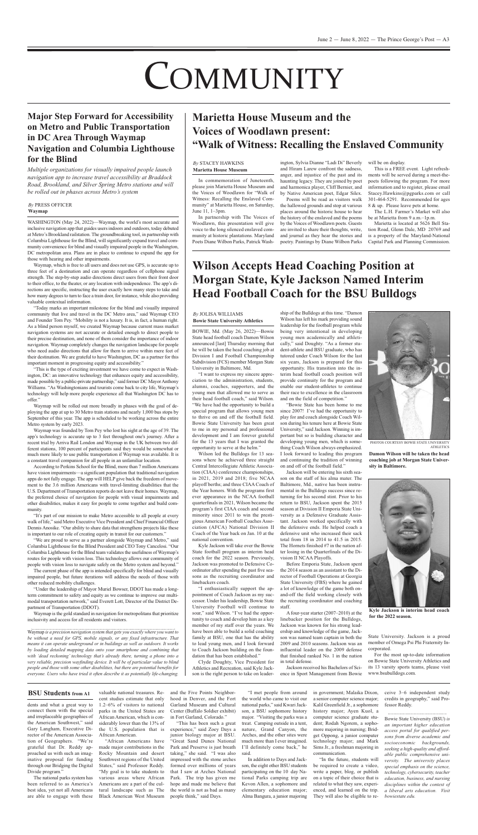"I want to express my sincere appreciation to the administration, students, alumni, coaches, supporters, and the young men that allowed me to serve as their head football coach," said wilson. "we have had the opportunity to build a special program that allows young men to thrive on and off the football field. Bowie State University has been great to me in my personal and professional development and I am forever grateful for the 13 years that I was granted the opportunity to serve at the helm."

wilson led the Bulldogs for 13 seasons where he achieved three straight Central Intercollegiate Athletic Association (CIAA) conference championships, in 2021, 2019 and 2018; five NCAA playoff berths; and three CIAA Coach of the year honors. with the programs first ever appearance in the NCAA football quarterfinals in 2021, wilson became the program's first CIAA coach and second minority since 2011 to win the prestigious American Football Coaches Association (AFCA) National Division II coach of the year back on Jan. 10 at the national convention.

Kyle Jackson will take over the Bowie State football program as interim head coach for the 2022 season. Previously, Jackson was promoted to Defensive coordinator after spending the past five seasons as the recruiting coordinator and linebackers coach.

Jackson will be entering his sixth season on the staff of his alma mater. The Baltimore, md., native has been instrumental in the Bulldogs success since returning for his second stint. Prior to his return to BSU, Jackson spent the 2015 season at Division II Emporia State University as a Defensive Graduate Assistant. Jackson worked specifically with the defensive ends. He helped coach a defensive unit who increased their sack total from 18 in 2014 to 41.5 in 2015. The Hornets finished #7 in the nation after losing in the Quarterfinals of the Division II NCAA Playoffs.

"i enthusiastically support the appointment of Coach Jackson as my successor. Under his leadership, Bowie State University Football will continue to soar," said Wilson. "I've had the opportunity to coach and develop him as a key member of my staff over the years. we have been able to build a solid coaching family at BSU, one that has the ability to lead young men, and I look forward to coach Jackson building on the foundation that has been established."

Before Emporia State, Jackson spent the 2014 season as an assistant to the Director of Football Operations at Georgia State University (FBS) where he gained a lot of knowledge of the game both onand-off the field working closely with the recruiting coordinator and coaching staff.

clyde Doughty, vice president for Athletics and Recreation, said Kyle Jackson is the right person to take on leader-

Jackson received his Bachelors of Science in Sport Management from Bowie State University. Jackson is a proud member of Omega Psi Phi Fraternity Incorporated.

In commemoration of Juneteenth, please join Marietta House Museum and the voices of woodlawn for "walk of Witness: Recalling the Enslaved Community" at Marietta House, on Saturday, June 11, 1–3pm.

> ship of the Bulldogs at this time. "Damon wilson has left his mark providing sound leadership for the football program while being very intentional in developing young men academically and athletically," said Doughty. "As a former student-athlete and BSU graduate, who has tutored under coach wilson for the last six years, Jackson is prepared for this opportunity. his transition into the interim head football coach position will provide continuity for the program and enable our student-athletes to continue their race to excellence in the classroom and on the field of competition."

In partnership with The Voices of woodlawn, this presentation will give voice to the long silenced enslaved community at historic plantations. maryland poets Diane wilbon parks, patrick wash-

ington, Sylvia Dianne "Ladi Di" Beverly and Hiram Larew confront the sadness, anger, and injustice of the past and its haunting legacy. They are joined by poet and harmonica player, cliff Bernier, and by Native American poet, Edgar Silex.

"Bowie State has been home to me since 2007! I've had the opportunity to play for and coach alongside coach wilson during his tenure here at Bowie State University," said Jackson. Winning is important but so is building character and developing young men, which is something coach wilson always emphasized. i look forward to leading this program



PHOTOS COURTESY BOWIE STATE UNIVERSITY **ATHLETICS** 

and continuing the tradition of winning on and off of the football field."

WASHINGTON (May 24, 2022)—Waymap, the world's most accurate and inclusive navigation app that guides usersindoors and outdoors, today debuted at metro's Brookland railstation. The groundbreaking tool, in partnership with Columbia Lighthouse for the Blind, will significantly expand travel and community convenience for blind and visually impaired people in the washington, DC metropolitan area. Plans are in place to continue to expand the app for those with hearing and other impairments.

Waymap, which is free to all users and does not use GPS, is accurate up to three feet of a destination and can operate regardless of cellphone signal strength. The step-by-step audio directions direct users from their front door to their office, to the theater, or any location with independence. The app's directions are specific, instructing the user exactly how many steps to take and how many degrees to turn to face a train door, for instance, while also providing valuable contextual information.

waymap will be rolled out more broadly in phases with the goal of deploying the app at up to 30 Metro train stations and nearly 1,000 bus stops by September of this year. The app is scheduled to be working across the entire Metro system by early 2023.

> a four-year starter (2007–2010) at the linebacker position for the Bulldogs, Jackson was known for his strong leadership and knowledge of the game, Jackson was named team captain in both the 2009 and 2010 seasons. Jackson was an influential leader on the 2009 defense that finished ranked No. 1 in the nation in total defense.

for the most up-to-date information on Bowie State University Athletics and its 13 varsity sports teams, please visit www.bsubulldogs.com.

According to Perkins School for the Blind, more than 7 million Americans have vision impairments—a significant population that traditional navigation apps do not fully engage. The app will HELP give back the freedom of movement to the 3.6 million Americans with travel-limiting disabilities that the U.S. Department of Transportation reports do not leave their homes. Waymap, the preferred choice of navigation for people with visual impairments and other disabilities, makes it easy for people to come together and build community.

"It's part of our mission to make Metro accessible to all people at every walk of life," said Metro Executive Vice President and Chief Financial Officer Dennis Anosike. "Our ability to share data that strengthens projects like these is important to our role of creating equity in transit for our customers."

"We are proud to serve as a partner alongside Waymap and Metro," said Columbia Lighthouse for the Blind President and CEO Tony Cancelosi. "Our Columbia Lighthouse for the Blind team validates the usefulness of Waymap's routes for people with vision loss. This technology allows our community of people with vision loss to navigate safely on the Metro system and beyond."

"Under the leadership of Mayor Muriel Bowser, DDOT has made a longterm commitment to safety and equity as we continue to improve our multimodal transportation network," said Everett Lott, Director of the District Department of Transportation (DDoT).

Waymap is the gold standard in navigation for metropolitans that prioritize inclusivity and access for all residents and visitors.

poems will be read as visitors walk the hallowed grounds and stop at various places around the historic house to hear the history of the enslaved and the poems by the Voices of Woodlawn poets. Guests are invited to share their thoughts, write, and journal as they hear the stories and poetry. paintings by Diane wilbon parks

will be on display.

This is a FREE event. Light refreshments will be served during a meet-thepoets following the program. for more information and to register, please email Stacey.hawkins@pgparks.com or call 301-464-5291. Recommended for ages 8 & up. Please leave pets at home.

The L.H. Farmer's Market will also be at Marietta from 9 a.m.-1p.m.

marietta is located at 5626 Bell Station Road, Glenn Dale, MD 20769 and is a property of the Maryland-National capital park and planning commission.

The national parks system has been referred to as America's best idea, yet not all Americans

valuable national treasures. Recent studies estimate that only 1.2–6% of visitors to national parks in the United States are African American, which is considerably lower than the 13% of the U.S. population that is African American.

are able to engage with these Black American West Museum "African Americans have made major contributions in the Rocky Mountain and desert Southwest regions of the United States," said Professor Reddy. "My goal is to take students to various areas where African Americans are a part of the cultural landscape such as The

and the Five Points Neighborhood in Denver, and the fort Garland Museum and Cultural center (Buffalo Soldier exhibit) in Fort Garland, Colorado."

> In addition to Days and Jackson, the eight other BSU students participating on the 10 day National parks camping trip are Kevon allen, a sophomore and elementary education major; alma Bangura, a junior majoring

"In the future, students will be required to create a video, write a paper, blog, or publish on a topic of their choice that is related to what they saw, experienced, and learned on the trip. They will also be eligible to receive 3–6 independent study credits in geography," said professor Reddy.

"Today marks an important milestone for the blind and visually impaired community that live and travel in the DC Metro area," said Waymap CEO and Founder Tom Pey. "Mobility is not a luxury. It is, in fact, a human right. As a blind person myself, we created Waymap because current mass market navigation systems are not accurate or detailed enough to direct people to their precise destination, and none of them consider the importance of indoor navigation. waymap completely changes the navigation landscape for people who need audio directions that allow for them to arrive within mere feet of their destination. We are grateful to have Washington, DC as a partner for this important moment in progressing equity and accessibility."

> Bowie State University (BSU) *is an important higher education access portal for qualified persons from diverse academic and socioeconomic backgrounds, seeking a high-quality and affordable public comprehensive university. The university places special emphasis on the science, technology, cybersecurity, teacher education, business, and nursing disciplines within the context of a liberal arts education. Visit bowiestate.edu.*

"This is the type of exciting investment we have come to expect in washington, Dc: an innovative technology that enhances equity and accessibility, made possible by a public-private partnership," said former DC Mayor Anthony Williams. "As Washingtonians and tourists come back to city life, Waymap's technology will help more people experience all that washington Dc has to offer."

waymap was founded by Tom pey who lost his sight at the age of 39. The app's technology is accurate up to 3 feet throughout one's journey. After a recent trial by Arriva Rail London and Waymap in the UK between two different stations, 100 percent of participants said they would be somewhat or much more likely to use public transportation if waymap was available. it is

a constant travel companion for all people in an unfamiliar location.

The current phase of the app is intended specifically for blind and visually impaired people, but future iterations will address the needs of those with other reduced mobility challenges.

waymap *is a precision navigation system that gets you exactly where you want to be without a need for GPS, mobile signals, or any fixed infrastructure. That means it can operate underground or in buildings as well as outdoors. It works by loading detailed mapping data onto your smartphone and combining that with 'dead reckoning' technology that's already there, turning a phone into a very reliable, precision wayfinding device. It will be of particular value to blind people and those with some other disabilities, but there are potential benefits for everyone. Users who have tried it often describe it as potentially life-changing.*

# COMMUNITY

#### *By* JoliSa williamS **Bowie State University Athletics**

Bowie, md. (may 26, 2022)—Bowie State head football coach Damon wilson announced [last] Thursday morning that he will be taken the head coaching job at Division I and Football Championship Subdivision (FCS) member Morgan State University in Baltimore, Md.

#### *By* preSS officer **Waymap**

# **Wilson Accepts Head Coaching Position at Morgan State, Kyle Jackson Named interim Head Football Coach for the BSU Bulldogs**

**Damon Wilson will be taken the head**

**coaching job at Morgan State University in Baltimore.**

#### *By* STacey hawKinS **Marietta House Museum**

## **Marietta House Museum and the Voices of Woodlawn present: "Walk of Witness: recalling the Enslaved Community**

## **Major Step Forward for Accessibility on Metro and Public Transportation in DC Area Through Waymap Navigation and Columbia Lighthouse for the Blind**

*Multiple organizations for visually impaired people launch navigation app to increase travel accessibility at Braddock Road, Brookland, and Silver Spring Metro stations and will be rolled out in phases across Metro's system*

dents and what a great way to connect them with the special and irreplaceable geographies of the American Southwest," said Gary Langham, Executive Director of the American Association of Geographers. "We're grateful that Dr. Reddy approached us with such an imaginative proposal for funding through our Bridging the Digital Divide program."

"This has been such a great experience," said zoey Days a junior biology major at BSu. "Great Sand Dunes National Park and Preserve is just breath taking," she said. "I was also impressed with the stone arches formed over millions of years that I saw at Arches National park. The trip has given me hope and made me believe that the world is not as bad as many people think," said Days.

"i met people from around the world who came to visit our national parks," said Kwari Jackson, a BSU sophomore history major. "Visiting the parks was a treat. camping outside in a tent, nature, Grand Canyon, the Arches, and the other sites were much more than I ever imagined. i'll definitely come back," he said.

in government; malaika Dixon, a senior computer science major; Kalil Greenfield Jr., a sophomore history major; Ayen Kuol, a computer science graduate student; Rodah Ngorem, a sophomore majoring in nursing; Bridget oppong, a junior computer technology major; and Mark Sims Jr., a freshman majoring in communication.

#### **BSU Students from A1**



**Kyle Jackson is interim head coach for the 2022 season.**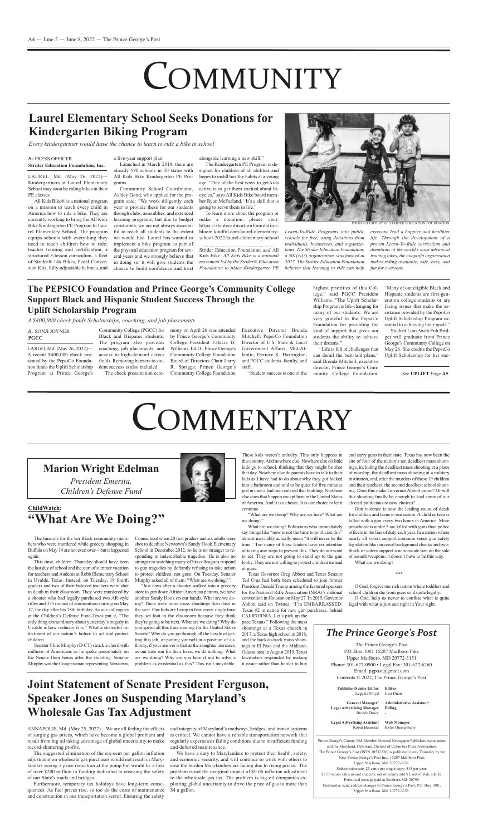The funerals for the ten Black community members who were murdered while grocery shopping in Buffalo on May 14 are not even over—but it happened again.

This time, children. Thursday should have been the last day of school and the start of summer vacation for teachers and students at Robb Elementary School in Uvalde, Texas. Instead, on Tuesday, 19 fourth graders and two of their beloved teachers were shot to death in their classroom. They were murdered by a shooter who had legally purchased two AR-style rifles and 375 rounds of ammunition starting on May 17, the day after his 18th birthday. As our colleagues at the children's Defense fund-Texas put it, "The only thing extraordinary about yesterday'stragedy in Uvalde is how ordinary it is." What a shameful indictment of our nation's failure to act and protect children.

Senator Chris Murphy (D-CT) struck a chord with millions of Americans as he spoke passionately on the Senate floor hours after the shooting. Senator Murphy was the Congressman representing Newtown,

connecticut when 20 first graders and six adults were shot to death at Newtown's Sandy Hook Elementary School in December 2012, so he is no stranger to responding to indescribable tragedies. He is also no stranger to watching many of his colleagues respond to gun tragedies by defiantly refusing to take action to protect children, not guns. On Tuesday, Senator Murphy asked all of them: "What are we doing?":

this country. And nowhere else. Nowhere else do little kids go to school, thinking that they might be shot that day. Nowhere else do parents have to talk to their kids as I have had to do about why they got locked into a bathroom and told to be quiet for five minutes just in case a bad man entered that building. Nowhere else does that happen except here in the United States of America. And it is a choice. It is our choice to let it continue . . .

"what are we doing? why are we here? what are we doing?"

Texas Governor Greg Abbott and Texas Senator Ted cruz had both been scheduled to join former president Donald Trump among the featured speakers for the National Rifle Association (NRA)'s national convention in Houston on May 27. In 2015, Governor Abbott said on Twitter: "I'm EMBARRASSED: Texas #2 in nation for new gun purchases, behind

"Just days after a shooter walked into a grocery store to gun down African American patrons, we have another Sandy hook on our hands. what are we doing? There were more mass shootings than days in the year. Our kids are living in fear every single time they set foot in the classroom because they think they're going to be next. what are we doing? why do you spend all this time running for the United States Senate? why do you go through all the hassle of getting this job, of putting yourself in a position of authority, if your answer is that as the slaughter increases, as our kids run for their lives, we do nothing. what are we doing? why are you here if not to solve a problem as existential as this? This isn't inevitable.

CALIFORNIA. Let's pick up the pace Texans." following the mass shootings at a Texas church in 2017, a Texas high school in 2018, and the back-to-back mass shootings in El Paso and the Midland-Odessa area in August 2019, Texas lawmakers responded by making it easier rather than harder to buy

Gun violence is now the leading cause of death for children and teens in our nation. A child or teen is killed with a gun every two hours in America. More preschoolers under 5 are killed with guns than police officers in the line of duty each year. In a nation where nearly all voters support common sense gun safety legislation like universal background checks and twothirds of voters support a nationwide ban on the sale of assault weapons, it doesn't have to be this way.

mony on April 26 was attended by Prince George's Community college president falecia D. Williams, Ed.D.; Prince George's community college foundation Board of Directors chair larry R. Spriggs; Prince George's community college foundation

Executive Director Brenda Mitchell; PepsiCo Foundation Director of U.S. State & Local Government Affairs, Mid-Atlantic, Deriece K. Harrington; and pgcc students, faculty, and staff.

what are we doing? politicians who immediately say things like "now is not the time to politicize this" almost inevitably actually mean "it will never be the time." Too many of these leaders have no intention of taking any steps to prevent this. They do not want to act. They are not going to stand up to the gun lobby. They are not willing to protect children instead of guns.

"Many of our eligible Black and hispanic students are first-generation college students or are facing issues that make the assistance provided by the PepsiCo Uplift Scholarship Program essential to achieving their goals."

Student Lum Aweh Fuh Bridget will graduate from prince George's Community College on May 26. She credits the PepsiCo uplift Scholarship for her suc-

Launched in March 2018, there are already 590 schools in 50 states with all Kids Bike Kindergarten pe programs.

> site of four of the nation's ten deadliest mass shootings, including the deadliest mass shooting at a place of worship, the deadliest mass shooting at a military institution, and, after the murders of these 19 children and their teachers, the second deadliest school shooting. Does this make Governor Abbott proud? Or will this shooting finally be enough to lead some of our elected politicians to new choices?

The Kindergarten PE Program is designed for children of all abilities and hopes to instill healthy habits at a young age. "One of the best ways to get kids active is to get them excited about bicycles," says all Kids Bike board member Ryan McFarland, "It's a skill that is going to serve them in life."

Strider Education Foundation *and* All Kids Bike*: All Kids Bike is a national movement led by the Strider® Education Foundation to place Kindergarten PE*



**Publisher/Senior Editor** legusta floyd **Editor** Lisa Duan

what are we doing?

\*\*\*

o god, forgive our rich nation where toddlers and school children die from guns sold quite legally.

o god, help us never to confuse what is quite legal with what is just and right in your sight.

Prince George's County, Md. Member National Newspaper Publishers Association, and the Maryland, Delaware, District of Columbia Press Association. The Prince George's Post (ISSN 10532226) is published every Thursday by the New Prince George's Post Inc., 15207 Marlboro Pike, upper marlboro, md. 20772-3151. Subscription rate: 25 cents per single copy; \$15 per year; \$7.50 senior citizens and students; out of county add \$1; out of state add \$2. periodical postage paid at Southern md. 20790. Postmaster, send address changes to Prince George's Post, P.O. Box 1001, upper marlboro, md. 20772-3151.

community college (pgcc) for Black and Hispanic students. The program also provides coaching, job placements, and access to high-demand career fields. Removing barriers to student success is also included. The check presentation cere-

ANNAPOLIS, Md. (May 25, 2022)—We are all feeling the effects of surging gas prices, which have become a global problem and result from big oil taking advantage of global uncertainty to make record-shattering profits.

furthermore, temporary tax holidays have long-term consequences. as fuel prices rise, so too do the costs of maintenance and construction in our transportation sector. Ensuring the safety

"Student success is one of the

highest priorities of this college," said PGCC President Williams. "The Uplift Scholarship program is life-changing for many of our students. we are very grateful to the PepsiCo foundation for providing the kind of support that gives our students the ability to achieve their dreams."

We have a duty to Marylanders to protect their health, safety, and economic security, and will continue to work with others to ease the burden marylanders are facing due to rising prices. The problem is not the marginal impact of \$0.06 inflation adjustment to the wholesale gas tax. The problem is big oil companies exploiting global uncertainty to drive the price of gas to more than \$4 a gallon.

"life is full of challenges that can derail the best-laid plans," said Brenda mitchell, executive director, Prince George's Community college foundation.

all Kids Bike® is a national program on a mission to teach every child in America how to ride a bike. They are currently working to bring the all Kids Bike Kindergarten PE Program to Laurel Elementary School. The program equips schools with everything they need to teach children how to ride; teacher training and certification, a structured 8-lesson curriculum, a fleet of Strider® 14x Bikes, pedal conversion Kits, fully-adjustable helmets, and

a five-year support plan.

community School coordinator, Ashley Good, who applied for the program said: "we work diligently each year to provide these for our students through clubs, assemblies, and extended learning programs, but due to budget constraints, we are not always successful to reach all students to the extent we would like. laurel has wanted to implement a bike program as part of the physical education program for several years and we strongly believe that in doing so, it will give students the chance to build confidence and trust

alongside learning a new skill."

To learn more about the program or make a donation, please visit: https://stridereducationfoundationbloom.kindful.com/laurel-elementaryschool-2022/laurel-elementary-school

*Learn-To-Ride Programs into public schools for free, using donations from individuals, businesses, and organizations. The Strider Education Foundation, a 501(c)(3) organization, was formed in 2017. The Strider Education Foundation believes that learning to ride can help*

*everyone lead a happier and healthier life. Through the development of a proven Learn-To-Ride curriculum and donations of the world's most advanced training bikes, the nonprofit organization makes riding available, safe, easy, and fun for everyone.*

*See* **UPLiFT** *Page* **A5**

phoTo courTeSy of STriDer eDucaTion founDaTion

#### *By* preSS officer **Strider Education Foundation, inc.**

LAUREL, Md. (May 26, 2022)-Kindergartners at Laurel Elementary School may soon be riding bikes in their PE classes.

> **General Manager/ Legal Advertising Manager** Brenda Boice **Administrative Assistant/ Billing** -

**Legal Advertising Assistant** Robin Boerckel **Web Manager** Kyler Quesenberry

# **COMMUNITY**

### **Marion Wright Edelman**

*President Emerita, Children's Defense Fund*

## **ChildWatch: "What Are We Doing?"**

## **Laurel Elementary School Seeks Donations for Kindergarten Biking Program**

*Every kindergartner would have the chance to learn to ride a bike in school*

### *The Prince George's Post*

The Prince George's Post p.o. Box 1001 15207 marlboro pike upper marlboro, mD 20772-3151 Phone: 301-627-0900 • Legal Fax: 301-627-6260 email: pgpost@gmail.com Contents © 2022, The Prince George's Post





## **The PEPSiCO Foundation and Prince George's Community College Support Black and Hispanic Student Success Through the Uplift Scholarship Program**

*A \$400,000 check funds Scholarships, coaching, and job placements*

## **Joint Statement of Senate President Ferguson, Speaker Jones on Suspending Maryland's Wholesale Gas Tax Adjustment**

#### *By* SonJi Joyner **PGCC**

LARGO, Md. (May 26, 2022) a recent \$400,000 check presented by the PepsiCo Foundation funds the Uplift Scholarship Program at Prince George's

The suggested elimination of the six-cent per gallon inflation adjustment on wholesale gas purchases would not result in marylanders seeing a price reduction at the pump but would be a loss of over \$200 million in funding dedicated to ensuring the safety of our State's roads and bridges.

and integrity of maryland's roadways, bridges, and transit systems is critical. we cannot have a reliable transportation network that regularly experiences failing conditions due to insufficient funding and deferred maintenance.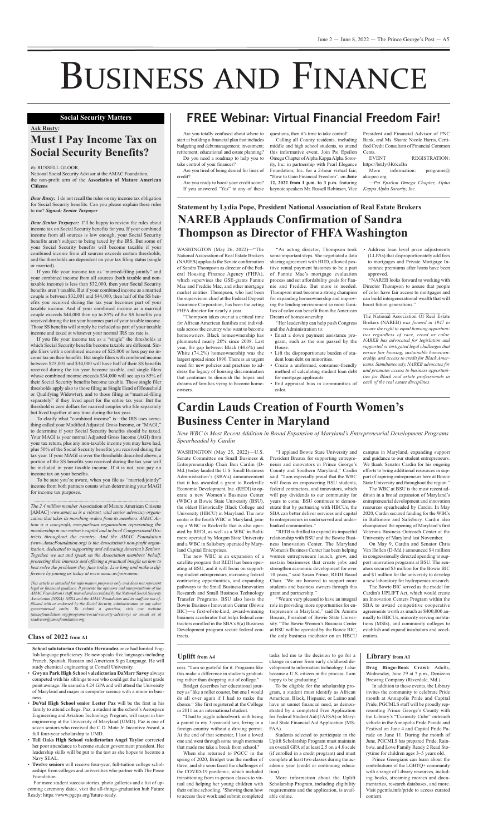for more student success stories, photo galleries and a list of upcoming ceremony dates, visit the all-things-graduation hub future Ready: https://www.pgcps.org/future-ready.

- **Gwynn Park High School valedictorian DaMarr Savoy** always competed with his siblings to see who could get the highest grade point average. He earned a 4.24 GPA and will attend the University of maryland and major in computer science with a minor in business.
- **DuVal High School senior Lester Paz** will be the first in his family to attend college. Paz, a student in the school's Aerospace Engineering and Aviation Technology Program, will major in bioengineering at the University of Maryland (UMD). Paz is one of seven seniors who received the C.D. Mote Jr. Incentive Award, a full four-year scholarship to UMD.
- **Tall Oaks High School valedictorian Angel Taylor** corrected her poor attendance to become student government president. her leadership skills will be put to the test as she hopes to become a Navy SEAL.
- **Twelve seniors** will receive four-year, full-tuition college scholarships from colleges and universities who partner with The posse foundation.

WASHINGTON (May 25, 2022)-U.S. Senate Committee on Small Business & Entrepreneurship Chair Ben Cardin (D-Md.) today lauded the U.S. Small Business Administration's (SBA's) announcement that it has awarded a grant to Rockville Economic Development, Inc. (REDI) to operate a new women's Business center (WBC) at Bowie State University (BSU), the oldest Historically Black College and University (HBCU) in Maryland. The new center is the fourth wBc in maryland, joining a WBC in Rockville that is also operated by REDI, as well as a WBC in Baltimore operated by Morgan State University and a wBc in Salisbury operated by maryland Capital Enterprises. The new wBc is an expansion of a satellite program that REDI has been operating at BSU, and it will focus on supporting student entrepreneurs, increasing federal contracting opportunities, and expanding pathways to the Small Business innovation Research and Small Business Technology Transfer Programs. BSU also hosts the Bowie Business innovation center (Bowie Bic)—a first-of-its-kind, award-winning business accelerator that helps federal contractors enrolled in the SBA's 8(a) Business Development program secure federal contracts.

"I applaud Bowie State University and campus in Maryland, expanding support president Breaux for supporting entrepreneurs and innovators in Prince George's county and Southern maryland," cardin said. "I am especially proud that the WBC will focus on empowering BSU students, federal contractors, and innovators, which will pay dividends to our community for years to come. BSU continues to demonstrate that by partnering with HBCUs, the SBA can better deliver services and capital to entrepreneurs in underserved and underbanked communities." "REDI is thrilled to expand its impactful relationship with BSU and the Bowie Business innovation center. The maryland women's Business center has been helping women entrepreneurs launch, grow, and sustain businesses that create jobs and strengthen economic development for over 10 years," said Susan Prince, REDI Board chair. "we are honored to support more students and business owners through this grant and partnership." "we are very pleased to have an integral role in providing more opportunities for entrepreneurs in Maryland," said Dr. Aminta Breaux, President of Bowie State University. "The Bowie women's Business center at BSU will be operated by the Bowie BIC, the only business incubator on an HBCU

Are you totally confused about where to start at building a financial plan that includes budgeting and debt management; investment; retirement; educational and estate planning?

Are you tired of being denied for lines of credit?

Are you ready to boost your credit score? If you answered "Yes" to any of these

calling all county residents, including middle and high school students, to attend this informative event. Join Psi Epsilon Omega Chapter of Alpha Kappa Alpha Sorority, Inc. in partnership with Pearl Elegance foundation, inc. for a 2-hour virtual fair, "how to gain financial freedom", on **June 12, 2022 from 1 p.m. to 3 p.m.** featuring keynote speakers Mr. Russell Robinson, Vice

president and financial advisor of pnc Bank, and Ms. Shante Nicole Harris, Certified Credit Consultant of Financial Common **Cents** 

EVENT REGISTRATION: https://bit.ly/3K6ceBn

More information: programs@ aka-peo.org

"As acting director, Thompson took some important steps. She negotiated a data sharing agreement with HUD, allowed positive rental payment histories to be a part of fannie mae's mortgage evaluation process and set affordability goals for fannie and freddie. But more is needed. Thompson must become a strong champion for expanding homeownership and improving the lending environment so more families of color can benefit from the American Dream of homeownership.

"her leadership can help push congress and the Administration to:

- Enact a down payment assistance program, such as the one passed by the House.
- Lift the disproportionate burden of student loan debt on minorities.
- Create a uniformed, consumer-friendly method of calculating student loan debt for mortgage applicants.
- End appraisal bias in communities of color.

Address loan level price adjustments (LLPAs) that disproportionately add fees to mortgages and Private Mortgage Insurance premiums after loans have been approved.

"NAREB looks forward to working with Director Thompson to assure that people of color have fair access to mortgages and can build intergenerational wealth that will boost future generations."

The National Association Of Real Estate Brokers (NAREB) *was formed in 1947 to secure the right to equal housing opportunities regardless of race, creed or color. NAREB has advocated for legislation and supported or instigated legal challenges that ensure fair housing, sustainable homeownership, and access to credit for Black Americans. Simultaneously, NAREB advocates for and promotes access to business opportunities for Black real estate professionals in each of the real estate disciplines.*

and guidance to our student entrepreneurs. We thank Senator Cardin for his ongoing efforts to bring additional resources in support of aspiring entrepreneurs here at Bowie State University and throughout the region." The WBC at BSU is the most recent addition in a broad expansion of maryland's entrepreneurial development and innovation resources spearheaded by cardin. in may 2020, cardin secured funding for the wBcs in Baltimore and Salisbury. cardin also championed the opening of Maryland's first veterans Business outreach center at the University of Maryland last November. On May 9, Cardin and Senator Chris Van Hollen (D-Md.) announced \$4 million in congressionally directed spending to support innovation programs at BSU. The senators secured \$3 million for the Bowie Bic and \$1 million for the university to develop a new laboratory for hydroponics research. The Bowie Bic served as the model for Cardin's UPLIFT Act, which would create an Innovation Centers Program within the SBA to award competitive cooperative agreements worth as much as \$400,000 annually to HBCUs, minority serving institutions (mSis), and community colleges to establish and expand incubators and accelerators.

National Social Security Advisor at the AMAC Foundation, the non-profit arm of the **Association of Mature American Citizens**

*Dear Rusty:* I do not recall the rules on my income tax obligation for Social Security benefits. can you please explain these rules to me? *Signed: Senior Taxpayer*

*Dear Senior Taxpayer:* I'll be happy to review the rules about income tax on Social Security benefits for you. if your combined income from all sources is low enough, your Social Security benefits aren't subject to being taxed by the IRS. But some of your Social Security benefits will become taxable if your combined income from all sources exceeds certain thresholds, and the thresholds are dependent on your tax filing status (single or married).

If you file your income tax as "married-filing jointly" and your combined income from all sources (both taxable and nontaxable income) is less than \$32,000, then your Social Security benefits aren't taxable. But if your combined income as a married couple is between \$32,001 and \$44,000, then half of the SS benefits you received during the tax year becomes part of your taxable income. And if your combined income as a married couple exceeds \$44,000 then up to 85% of the SS benefits you received during the tax year becomes part of your taxable income. Those SS benefits will simply be included as part of your taxable income and taxed at whatever your normal IRS tax rate is.

Do you need a roadmap to help you to take control of your finances?

questions, then it's time to take control!

*—Psi Epsilon Omega Chapter, Alpha Kappa Alpha Sorority, Inc.*

#### **Class of 2022 from A1**

**School salutatorian Osvaldo Hernandez** once had limited English language proficiency. he now speaks five languages including French, Spanish, Russian and American Sign Language. He will study chemical engineering at Cornell University.

*The* 2.4 *million member* Association of Mature American Citizens [amac] *www.amac.us is a vibrant, vital senior advocacy organization that takes its marching orders from its members. AMAC Action is a non-profit, non-partisan organization representing the membership in our nation's capital and in local Congressional Districts throughout the country. And the AMAC Foundation (www.AmacFoundation.org) is the Association's non-profit organization, dedicated to supporting and educating America's Seniors. Together, we act and speak on the Association members' behalf, protecting their interests and offering a practical insight on how to best solve the problems they face today. Live long and make a difference by joining us today at www.amac.us/join-amac.*

> cess. "I am so grateful for it. Programs like this make a difference in students graduating rather than dropping out of college."

"Thompson takes over at a critical time for African American families and individuals across the country who want to become homeowners. Black homeownership has plummeted nearly 20% since 2008. last year, the gap between Black (44.6%) and white (74.2%) homeownership was the largest spread since 1890. There is an urgent need for new policies and practices to address the legacy of housing discrimination that continues to diminish the hopes and dreams of families vying to become homeowners.

"I had to juggle schoolwork with being a parent to my 3-year-old son, living in a foreign country without a driving permit. At the end of that semester, I lost a loved one and went through some tough moments that made me take a break from school."

When she returned to PGCC in the spring of 2020, Bridget was the mother of three, and she soon faced the challenges of the coviD-19 pandemic, which included transitioning from in-person classes to virtual and helping her young children with their online schooling. "Showing them how to access their work and submit completed

To be eligible for the scholarship program, a student must identify as african American, Black, Hispanic, or Latino and have an unmet financial need, as demonstrated by a completed Free Application for federal Student aid (fafSa) or maryland State Financial Aid Application (MS-FAA).

More information about the Uplift Scholarship program, including eligibility requirements and the application, is available online.

**Drag Bingo-Book Crawl:** adults, wednesday, June 29 at 7 p.m., Denizens Brewing Company (Riverdale, Md.)

In addition to these events, the Library invites the community to celebrate pride month at Annapolis Pride and Capital Pride. PGCMLS staff will be proudly representing Prince George's County with the library's "curiosity cube" outreach vehicle in the Annapolis Pride Parade and festival on June 4 and capital pride parade on June 11. During the month of June, PGCMLS has prepared Pride, Rainbow, and Love Family Ready 2 Read Storytime for children ages 3–5 years old.

Prince Georgians can learn about the contributions of the LGBTQ+ community with a range of Library resources, including books, streaming movies and documentaries, research databases, and more. visit pgcmls.info/pride to access curated content.

## **Statement by Lydia Pope, President National Association of real Estate Brokers NArEB Applauds Confirmation of Sandra Thompson as Director of FHFA Washington**

WASHINGTON (May 26, 2022)—"The National Association of Real Estate Brokers (NAREB) applauds the Senate confirmation of Sandra Thompson as director of the federal Housing Finance Agency (FHFA), which supervises the GSE-giants Fannie Mae and Freddie Mac, and other mortgage market entities. Thompson, who had been the supervision chief at the federal Deposit Insurance Corporation, has been the acting FHFA director for nearly a year.

# BUSINESS AND FINANCE

#### **Ask Rusty:**

## **Must i Pay income Tax on Social Security Benefits?**

#### *By* ruSSell gloor,

if you file your income tax as a "single" the thresholds at which Social Security benefits become taxable are different. Single filers with a combined income of \$25,000 or less pay no income tax on their benefits. But single filers with combined income between \$25,001 and \$34,000 will have half of their SS benefits received during the tax year become taxable, and single filers whose combined income exceeds \$34,000 will see up to 85% of their Social Security benefits become taxable. These single filer thresholds apply also to those filing as Single Head of Household or Qualifying widow(er), and to those filing as "married-filing separately" if they lived apart for the entire tax year. But the threshold is zero dollars for married couples who file separately but lived together at any time during the tax year.

To clarify what "combined income" is—the IRS uses something called your Modified Adjusted Gross Income, or "MAGI," to determine if your Social Security benefits should be taxed. Your MAGI is your normal Adjusted Gross Income (AGI) from your tax return, plus any non-taxable income you may have had, plus 50% of the Social Security benefits you received during the tax year. If your MAGI is over the thresholds described above, a

portion of the SS benefits you received during the tax year will be included in your taxable income. If it is not, you pay no income tax on your benefits.

To be sure you're aware, when you file as "married/jointly" income from both partners counts when determining your MAGI for income tax purposes.

*This article is intended for information purposes only and does not represent legal or financial guidance. It presents the opinions and interpretations of the AMAC Foundation'sstaff, trained and accredited by the National Social Security Association (NSSA). NSSA and the AMAC Foundation and its staff are not affiliated with or endorsed by the Social Security Administration or any other governmental entity. To submit a question, visit our website (amacfoundation.org/programs/social-security-advisory) or email us at ssadvisor@amacfoundation.org.*

## **Social Security Matters FREE Webinar: Virtual Financial Freedom Fair!**

## **Cardin Lauds Creation of Fourth Women's Business Center in Maryland**

*New WBC is Most Recent Addition in Broad Expansion of Maryland's Entrepreneurial Development Programs Spearheaded by Cardin*

Bridget describes her educational journey as "like a roller coaster, but one I would do all over again if I had to make the choice." She first registered at the college in 2011 as an international student.

tasks led me to the decision to go for a change in career from early childhood development to information technology. I also became a U.S. citizen in the process. I am happy to be graduating."

Students selected to participate in the uplift Scholarship program must maintain an overall GPA of at least 2.5 on a 4.0 scale (if enrolled in a credit program) and must complete at least two classes during the academic year (credit or continuing education).

#### **Uplift from A4**

#### **Library from A1**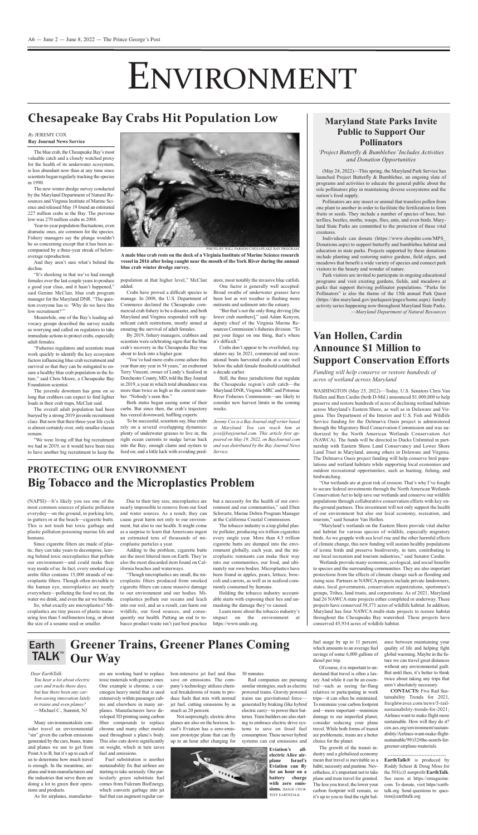The blue crab, the chesapeake Bay's most valuable catch and a closely watched proxy for the health of its underwater ecosystem, is less abundant now than at any time since scientists began regularly tracking the species in 1990.

The new winter dredge survey conducted by the Maryland Department of Natural Resources and Virginia Institute of Marine Science and released may 19 found an estimated 227 million crabs in the Bay. The previous low was 270 million crabs in 2004.

Year-to-year population fluctuations, even dramatic ones, are common for the species. fishery managers say the plunge wouldn't be so concerning except that it has been accompanied by a three-year streak of belowaverage reproduction.

And they aren't sure what's behind the decline.

"It's shocking in that we've had enough females over the last couple years to produce a good year class, and it hasn't happened," said Genine McClair, blue crab program manager for the Maryland DNR. "The question everyone has is: 'why do we have this low recruitment?"

Meanwhile, one of the Bay's leading advocacy groups described the survey results as worrying and called on regulators to take immediate actions to protect crabs, especially adult females.

The juvenile downturn has gone on so long that crabbers can expect to find lighter loads in their crab traps, McClair said.

"you've had more crabs come ashore this year than any year in 54 years," an exuberant Terry Vincent, owner of Lindy's Seafood in Dorchester county, mD, told the Bay Journal in 2019, a year in which total abundance was more than twice as high as the current number. "Nobody's seen this."

"fisheries regulators and scientists must work quickly to identify the key ecosystem factors influencing blue crab recruitment and survival so that they can be mitigated to ensure a healthy blue crab population in the future," said Chris Moore, a Chesapeake Bay foundation scientist.

> To be successful, scientists say, blue crabs rely on a several overlapping dynamics: plenty of underwater grasses to live in; the right ocean currents to nudge larvae back into the Bay; enough clams and oysters to feed on; and a little luck with avoiding pred-

One factor is generally well accepted: Broad swaths of underwater grasses have been lost as wet weather is flushing more nutrients and sediment into the estuary.

The overall adult population had been buoyed by a strong 2019 juvenile recruitment class. But now that their three-year life cycle is almost certainly over, only smaller classes remain.

"we were living off that big recruitment we had in 2019, so it would have been nice to have another big recruitment to keep the



population at that higher level," mcclair ators, most notably the invasive blue catfish. added.

crabs have proved a difficult species to manage. In 2008, the U.S. Department of commerce declared the chesapeake commercial crab fishery to be a disaster, and both Maryland and Virginia responded with significant catch restrictions, mostly aimed at ensuring the survival of adult females.

By 2019, fishery managers, crabbers and scientists were celebrating signs that the blue crab's recovery in the chesapeake Bay was about to kick into a higher gear.

Many environmentalists consider travel an environmental "sin" given the carbon emissions generated by the cars, buses, trains and planes we use to get from Point A to B, but it's up to each of us to determine how much travel is enough. in the meantime, airplane and train manufacturers and the industries that serve them are doing a lot to green their operations and products.

As for airplanes, manufactur-

Both states began easing some of their curbs. But since then, the crab's trajectory has veered downward, baffling experts.

> Not surprisingly, electric drive planes are also on the horizon. israel's Eviation has a zero-emission prototype plane that can fly up to an hour after charging for



similar strategies, such as electric powered trains. Gravity powered trains use gravitational force generated by braking (like hybrid electric cars)—to power their batteries.Train builders are also starting to embrace electric drive systems to save on fossil fuel consumption. These newer hybrid systems can cut emissions and

"But that's not the only thing driving [the lower crab numbers]," said Adam Kenyon, deputy chief of the Virginia Marine Resources Commission's fisheries division. "To put your finger on one thing, that's where it's difficult."

crabs don't appear to be overfished, regulators say. in 2021, commercial and recreational boats harvested crabs at a rate well below the adult female threshold established a decade earlier.

Still, the three jurisdictions that regulate the chesapeake region's crab catch—the Maryland DNR, Virginia MRC and Potomac River Fisheries Commission—are likely to consider new harvest limits in the coming weeks.

> **CONTACTS:** Five Rail Sustainability Trends for 2021, freightwaves.com/news/5-railsustainability-trends-for-2021; Airlines want to make flight more sustainable. How will they do it? cen.acs.org/environment/sustainability/airlines-want-make-flightsustainable/99/i32#the-search-forgreener-airplane-materials.

*Jeremy Cox is a Bay Journalstaff writer based in Maryland. You can reach him at jcox@bayjournal.com. This article first appeared on May 19, 2022, on BayJournal.com and was distributed by the Bay Journal News Service.*

# ENVIRONMENT

### **Maryland State Parks invite Public to Support Our Pollinators**

(NAPSI)—It's likely you see one of the most common sources of plastic pollution everyday—on the ground, in parking lots, in gutters or at the beach—cigarette butts. This is not trash but toxic garbage and plastic pollution poisoning marine life and humans.

*'Project Butterfly & Bumblebee'Includes Activities and Donation Opportunities*

#### *Dear EarthTalk:*

*You hear a lot about electric cars and trucks these days, but has there been any carbon-saving innovation lately in trains and even planes?* —michael c., Summit, nJ

ers are working hard to replace toxic materials with greener ones. One example is chrome, a carcinogen heavy metal that is used extensively within passenger cabins and elsewhere in many airplanes. Manufacturers have developed 3D printing using carbon fiber compounds to replace chrome and many other metals used throughout a plane's body. This also cuts down significantly on weight, which in turn saves fuel and emissions.

fuel substitution is another sustainability fix that airlines are starting to take seriously. One particularly green substitute fuel comes from Fulcrum BioEnergy, which converts garbage into jet fuel that can augment regular car-

(May 24, 2022)—This spring, the Maryland Park Service has launched Project Butterfly & Bumblebee, an ongoing slate of programs and activities to educate the general public about the role pollinators play in maintaining diverse ecosystems and the nation's food supply.

bon-intensive jet fuel and thus save on emissions. The company's technology utilizes chemical breakdowns of waste to produce fuels that mix with normal jet fuel, cutting emissions by as much as 20 percent.

30 minutes.

Individuals can donate (https://www.shopdnr.com/MPS Donations.aspx) to support butterfly and bumblebee habitat and education in state parks. Projects supported by these donations include planting and restoring native gardens, field edges, and meadows that benefit a wide variety of species and connect park visitors to the beauty and wonder of nature.

fuel usage by up to 11 percent, which amounts to an average fuel savings of some 6,000 gallons of diesel per trip.

of course, it isimportant to understand that travel is often a luxury. And while it can be an essential—such as seeing far-flung relatives or participating in work trips—it can often be minimized. To minimize your carbon footprint and—more important—minimize damage to our imperiled planet, consider reducing your plane travel. while both forms of transit are problematic, trains are a better choice for the planet.

The growth of the transit industry and a globalized economy mean that travel is inevitable as a habit, necessity and pastime. Nevertheless, it'simportant not to take plane and train travel for granted. The less you travel, the lower your carbon footprint will remain, so it's up to you to find the right balance between maintaining your quality of life and helping fight global warming. Maybe in the future we can travel great distances without any environmental guilt. But until then, it's better to think twice about taking any trips that aren't absolutely necessary.

WASHINGTON (May 25, 2022)-Today, U.S. Senators Chris Van Hollen and Ben Cardin (both D-Md.) announced \$1,000,000 to help preserve and restore hundreds of acres of declining wetland habitats across Maryland's Eastern Shore, as well as in Delaware and Virginia. This Department of the Interior and U.S. Fish and Wildlife Service funding for the Delmarva Oasis project is administered through the migratory Bird conservation commission and was authorized by the North American Wetlands Conservation Act (NAWCA). The funds will be directed to Ducks Unlimited in partnership with Eastern Shore Land Conservancy and Lower Shore Land Trust in Maryland, among others in Delaware and Virginia. The Delmarva Oasis project funding will help conserve bird populations and wetland habitats while supporting local economies and outdoor recreational opportunities, such as hunting, fishing, and birdwatching. "Our wetlands are at great risk of erosion. That's why I've fought to secure federal investments through the North American Wetlands conservation act to help save our wetlands and conserve our wildlife populations through collaborative conservation efforts with key onthe-ground partners. This investment will not only support the health of our environment but also our local economy, recreation, and tourism," said Senator Van Hollen. "Maryland's wetlands on the Eastern Shore provide vital shelter and habitat for various species of wildlife, especially migratory birds. As we grapple with sea level rise and the other harmful effects of climate change, this new funding will sustain healthy populations of iconic birds and preserve biodiversity, in turn, contributing to our local recreation and tourism industries," said Senator cardin. wetlands provide many economic, ecological, and social benefits to species and the surrounding communities. They are also important protections from the effects of climate change such as flooding and rising seas. Partners in NAWCA projects include private landowners, states, local governments, conservation organizations, sportsmen's groups, Tribes, land trusts, and corporations. As of 2021, Maryland had 26 NAWCA state projects either completed or underway. These projects have conserved 58,371 acres of wildlife habitat. in addition, Maryland has four NAWCA multi-state projects to restore habitat throughout the chesapeake Bay watershed. These projects have conserved 45,934 acres of wildlife habitat.

> **EarthTalk®** is produced by Roddy Scheer & Doug Moss for the 501(c)3 nonprofit **EarthTalk**. See more at https://emagazine. com. To donate, visit https//earthtalk.org. Send questions to: question@earthtalk.org

Rail companies are pursuing

#### **Greener Trains, Greener Planes Coming Our Way** Earth TALK™

**Eviation's allelectric Alice airplane israel's Eviation can fly for an hour on a battery charge with zero emissions.** image cour-TeSy earThTalK

#### *By* Jeremy cox **Bay Journal News Service**

# **Chesapeake Bay Crabs Hit Population Low**

Since cigarette filters are made of plastic, they can take years to decompose, leaving behind toxic microplastics that pollute our environment—and could make their way inside of us. In fact, every smoked cigarette filter contains 15,000 strands of microplastic fibers. Though often invisible to the human eye, microplastics are nearly everywhere—polluting the food we eat, the water we drink, and even the air we breathe.

So, what exactly are microplastics? microplastics are tiny pieces of plastic measuring less than 5 millimeters long, or about the size of a sesame seed or smaller.

Due to their tiny size, microplastics are nearly impossible to remove from our food and water sources. As a result, they can cause great harm not only to our environment, but also to our health. it might come as a surprise to learn that Americans ingest an estimated tens of thousands of microplastic particles a year.

adding to the problem, cigarette butts are the most littered item on Earth. They're also the most discarded item found on california beaches and waterways.

"Though microplastics are small, the microplastic fibers produced from smoked cigarette filters can cause massive damage to our environment and our bodies. microplastics pollute our oceans and leach into our soil, and as a result, can harm our wildlife, our food sources, and consequently our health. Putting an end to tobacco product waste isn't just best practice but a necessity for the health of our environment and our communities," said Eben Schwartz, Marine Debris Program Manager at the california coastal commission.

The tobacco industry is a top global plastic polluter, producing six trillion cigarettes every single year. more than 4.5 trillion cigarette butts are dumped into the environment globally, each year, and the microplastic remnants can make their way into our communities, our food, and ultimately our own bodies. microplastics have been found in apples, pears, lettuce, broccoli and carrots, as well as in seafood commonly consumed by humans.

holding the tobacco industry accountable starts with exposing their lies and unmasking the damage they've caused.

learn more about the tobacco industry's impact on the environment at https://www.undo.org.

## **PrOTECTiNG OUr ENVirONMENT Big Tobacco and the Microplastics Problem**

phoTo By will parSon/cheSapeaKe Bay program

**A male blue crab rests on the deck of a Virginia institute of Marine Science research vessel in 2016 after being caught near the mouth of the york river during the annual blue crab winter dredge survey.**

pollinators are any insect or animal that transfers pollen from one plant to another in order to facilitate the fertilization to form fruits or seeds. They include a number of species of bees, butterflies, beetles, moths, wasps, flies, ants, and even birds. maryland State parks are committed to the protection of these vital creatures.

park visitors are invited to participate in ongoing educational programs and visit existing gardens, fields, and meadows at parks that support thriving pollinator populations. "parks for pollinators" is also the theme of the 15th annual park Quest (https://dnr.maryland.gov/parkquest/pages/home.aspx) family activity series happening now throughout maryland State parks. *—Maryland Department of Natural Resources*

## **Van Hollen, Cardin Announce \$1 Million to Support Conservation Efforts**

#### *Funding will help conserve or restore hundreds of acres of wetland across Maryland*